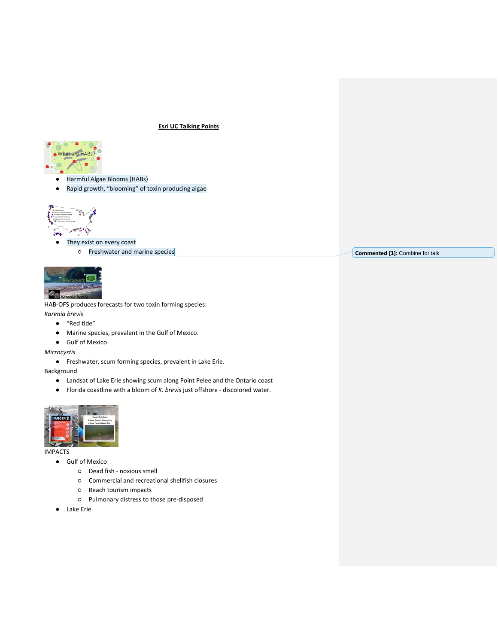#### **Esri UC Talking Points**



- Harmful Algae Blooms (HABs)
- Rapid growth, "blooming" of toxin producing algae



- They exist on every coast
	- Freshwater and marine species



HAB-OFS produces forecasts for two toxin forming species: *Karenia brevis* 

- "Red tide"
- Marine species, prevalent in the Gulf of Mexico.
- Gulf of Mexico

*Microcystis*

● Freshwater, scum forming species, prevalent in Lake Erie.

Background

- Landsat of Lake Erie showing scum along Point Pelee and the Ontario coast
- Florida coastline with a bloom of *K. brevis* just offshore discolored water.



IMPACTS

- Gulf of Mexico
	- Dead fish noxious smell
	- Commercial and recreational shellfish closures
	- Beach tourism impacts
	- Pulmonary distress to those pre-disposed
- Lake Erie

**Commented [1]:** Combine for talk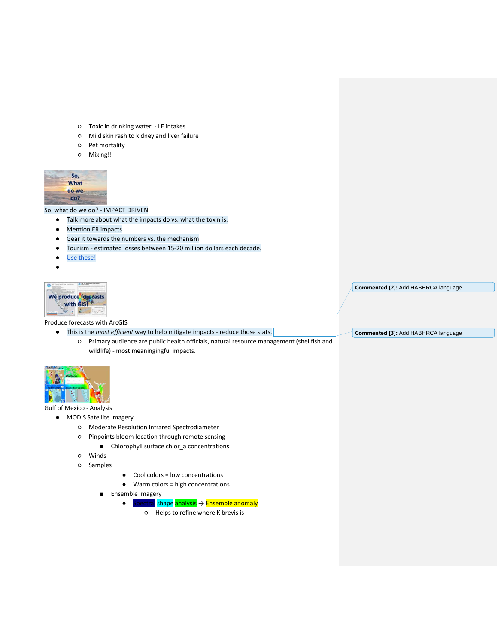- Toxic in drinking water LE intakes
- Mild skin rash to kidney and liver failure
- Pet mortality
- Mixing!!



So, what do we do? - IMPACT DRIVEN

- Talk more about what the impacts do vs. what the toxin is.
- Mention ER impacts
- Gear it towards the numbers vs. the mechanism
- Tourism estimated losses between 15-20 million dollars each decade.
- [Use these!](https://docs.google.com/presentation/d/1LJfkcVM7M6rjYPOhgDwHe4oVWv_slTUYFOzQxBgQUSY/edit?ts=5b3e57dc#slide=id.g3bc052b5f3_0_5)
- **。**



#### Produce forecasts with ArcGIS

- This is the *most efficient* way to help mitigate impacts reduce those stats.
	- Primary audience are public health officials, natural resource management (shellfish and wildlife) - most meaningingful impacts.



# Gulf of Mexico - Analysis

- MODIS Satellite imagery
	- Moderate Resolution Infrared Spectrodiameter
	- Pinpoints bloom location through remote sensing
		- Chlorophyll surface chlor\_a concentrations
	- Winds
	- Samples
- Cool colors = low concentrations
- Warm colors = high concentrations
- Ensemble imagery
	- Spectral shape analysis → Ensemble anomaly
		- Helps to refine where K brevis is

**Commented [2]:** Add HABHRCA language

**Commented [3]:** Add HABHRCA language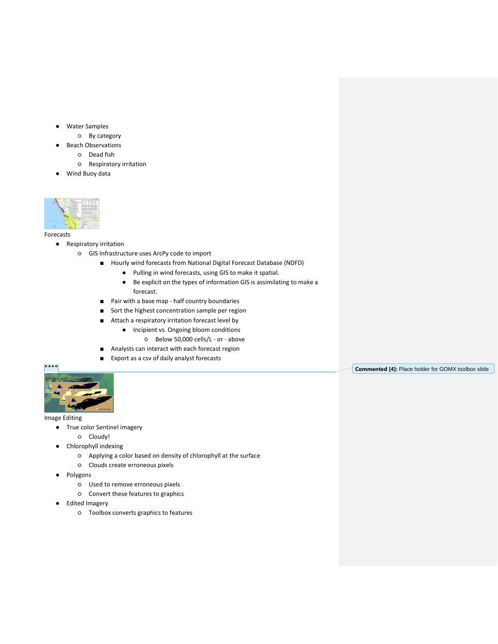- **Water Samples** 
	- By category
	- **Beach Observations** 
		- Dead fish
		- Respiratory irritation
- Wind Buoy data



Forecasts

- Respiratory irritation
	- GIS Infrastructure uses ArcPy code to import
		- Hourly wind forecasts from National Digital Forecast Database (NDFD)
			- Pulling in wind forecasts, using GIS to make it spatial.
			- Be explicit on the types of information GIS is assimilating to make a forecast.
		- Pair with a base map half country boundaries
		- Sort the highest concentration sample per region
		- Attach a respiratory irritation forecast level by
			- Incipient vs. Ongoing bloom conditions
				- Below 50,000 cells/L or above
		- Analysts can interact with each forecast region
		- Export as a csv of daily analyst forecasts



Image Editing

- True color Sentinel imagery
	- Cloudy!
- Chlorophyll indexing
	- Applying a color based on density of chlorophyll at the surface
	- Clouds create erroneous pixels
- Polygons
	- Used to remove erroneous pixels
	- Convert these features to graphics
- Edited Imagery
	- Toolbox converts graphics to features

**Commented [4]:** Place holder for GOMX toolbox slide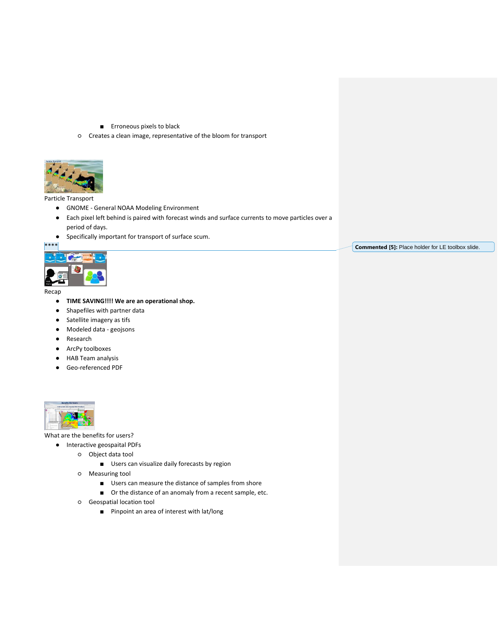- Erroneous pixels to black
- Creates a clean image, representative of the bloom for transport



# Particle Transport

- GNOME General NOAA Modeling Environment
- Each pixel left behind is paired with forecast winds and surface currents to move particles over a period of days.
- Specifically important for transport of surface scum.



Recap

- **TIME SAVING!!!! We are an operational shop.**
- Shapefiles with partner data
- Satellite imagery as tifs
- Modeled data geojsons
- Research
- ArcPy toolboxes
- HAB Team analysis
- Geo-referenced PDF



What are the benefits for users?

- Interactive geospaital PDFs
	- Object data tool
		- Users can visualize daily forecasts by region
	- Measuring tool
		- Users can measure the distance of samples from shore
		- Or the distance of an anomaly from a recent sample, etc.
	- Geospatial location tool
		- Pinpoint an area of interest with lat/long

**Commented [5]:** Place holder for LE toolbox slide.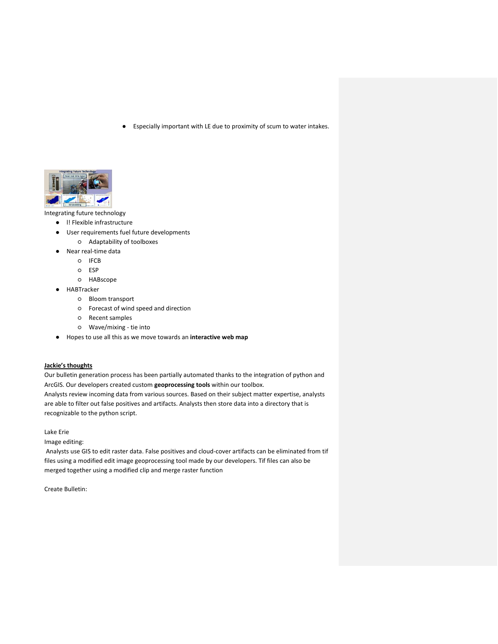Especially important with LE due to proximity of scum to water intakes.



Integrating future technology

- l! Flexible infrastructure
- User requirements fuel future developments
	- Adaptability of toolboxes
- Near real-time data
	- IFCB
	- ESP
	- HABscope
- HABTracker
	- Bloom transport
	- Forecast of wind speed and direction
	- Recent samples
	- Wave/mixing tie into
- Hopes to use all this as we move towards an **interactive web map**

# **Jackie's thoughts**

Our bulletin generation process has been partially automated thanks to the integration of python and ArcGIS. Our developers created custom **geoprocessing tools** within our toolbox. Analysts review incoming data from various sources. Based on their subject matter expertise, analysts

are able to filter out false positives and artifacts. Analysts then store data into a directory that is recognizable to the python script.

Lake Erie

Image editing:

Analysts use GIS to edit raster data. False positives and cloud-cover artifacts can be eliminated from tif files using a modified edit image geoprocessing tool made by our developers. Tif files can also be merged together using a modified clip and merge raster function

Create Bulletin: